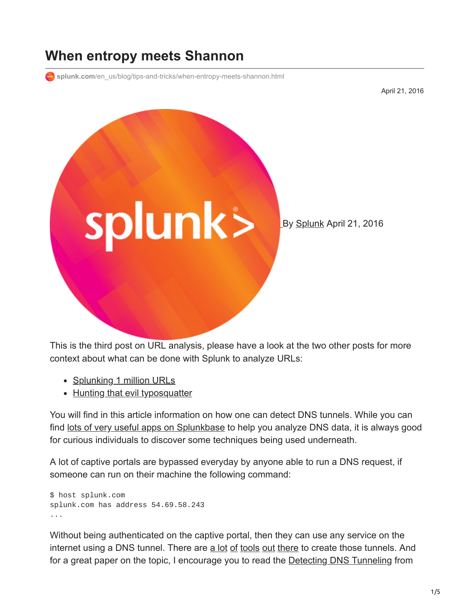## **When entropy meets Shannon**

**splunk.com**[/en\\_us/blog/tips-and-tricks/when-entropy-meets-shannon.html](https://www.splunk.com/en_us/blog/tips-and-tricks/when-entropy-meets-shannon.html)

April 21, 2016



This is the third post on URL analysis, please have a look at the two other posts for more context about what can be done with Splunk to analyze URLs:

- [Splunking 1 million URLs](http://blogs.splunk.com/2016/03/22/splunking-1-million-urls/)
- [Hunting that evil typosquatter](http://blogs.splunk.com/2016/04/01/hunting-that-evil-typosquatter/)

You will find in this article information on how one can detect DNS tunnels. While you can find [lots of very useful apps on Splunkbase](https://splunkbase.splunk.com/apps/#/page/1/search/dns/order/relevance) to help you analyze DNS data, it is always good for curious individuals to discover some techniques being used underneath.

A lot of captive portals are bypassed everyday by anyone able to run a DNS request, if someone can run on their machine the following command:

```
$ host splunk.com
splunk.com has address 54.69.58.243
...
```
Without being authenticated on the captive portal, then they can use any service on the internet using a DNS tunnel. There are [a lot](https://github.com/iagox86/dnscat2) [of](http://wiki.kartbuilding.net/index.php/Dnstunnel) [tools](http://code.kryo.se/iodine/) [out](https://www2.deloitte.com/fr/fr/pages/risque-compliance-et-controle-interne/articles/cyber-academy.html/ressources/outils/dns2tcp/.html) [there](https://github.com/FedericoCeratto/dnscapy) to create those tunnels. And for a great paper on the topic, I encourage you to read the **Detecting DNS Tunneling** from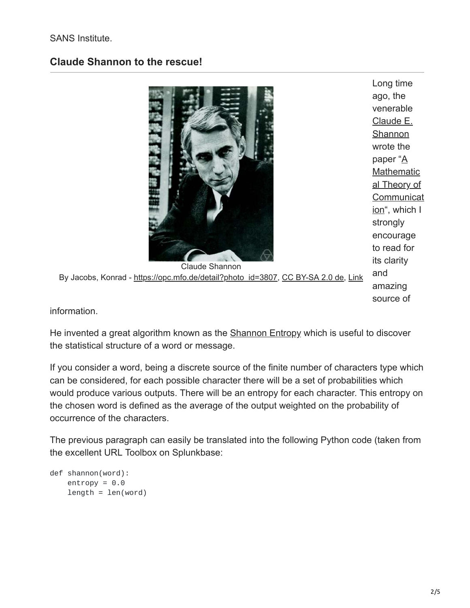## SANS Institute.

## **Claude Shannon to the rescue!**



By Jacobs, Konrad - [https://opc.mfo.de/detail?photo\\_id=3807,](https://opc.mfo.de/detail?photo_id=3807) [CC BY-SA 2.0 de](https://creativecommons.org/licenses/by-sa/2.0/de/deed.en), [Link](https://commons.wikimedia.org/w/index.php?curid=45380422)

Long time ago, the venerable [Claude E.](https://en.wikipedia.org/wiki/Claude_Shannon) **Shannon** wrote the paper "A **Mathematic** al Theory of **[Communicat](http://math.harvard.edu/~ctm/home/text/others/shannon/entropy/entropy.pdf)** ion", which I strongly encourage to read for its clarity and amazing source of

information.

He invented a great algorithm known as the **[Shannon Entropy](https://en.wikipedia.org/wiki/Entropy_(information_theory))** which is useful to discover the statistical structure of a word or message.

If you consider a word, being a discrete source of the finite number of characters type which can be considered, for each possible character there will be a set of probabilities which would produce various outputs. There will be an entropy for each character. This entropy on the chosen word is defined as the average of the output weighted on the probability of occurrence of the characters.

The previous paragraph can easily be translated into the following Python code (taken from the excellent URL Toolbox on Splunkbase:

```
def shannon(word):
    entropy = 0.0length = len(word)
```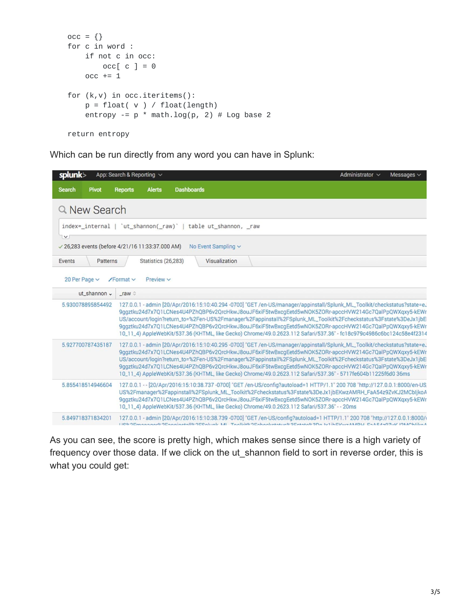```
occ = \{\}for c in word :
   if not c in occ:
       occ[c] = 0occ += 1for (k,v) in occ.iteritems():
   p = float(v) / float(length)entropy -= p * \text{math.} \log(p, 2) # \text{Log base 2}return entropy
```
Which can be run directly from any word you can have in Splunk:

| splunk>                                          | App: Search & Reporting $\vee$ |                            |                   |                                                                                              |  | Administrator $\sim$                                                                                                                                                                                                                                                                                                                                                                                                                                                                                                                                                                | Messages $\vee$ |
|--------------------------------------------------|--------------------------------|----------------------------|-------------------|----------------------------------------------------------------------------------------------|--|-------------------------------------------------------------------------------------------------------------------------------------------------------------------------------------------------------------------------------------------------------------------------------------------------------------------------------------------------------------------------------------------------------------------------------------------------------------------------------------------------------------------------------------------------------------------------------------|-----------------|
| <b>Search</b><br><b>Pivot</b>                    | <b>Reports</b>                 | <b>Alerts</b>              | <b>Dashboards</b> |                                                                                              |  |                                                                                                                                                                                                                                                                                                                                                                                                                                                                                                                                                                                     |                 |
| Q New Search                                     |                                |                            |                   |                                                                                              |  |                                                                                                                                                                                                                                                                                                                                                                                                                                                                                                                                                                                     |                 |
| index=_internal   'ut_shannon(_raw)'  <br>$\vee$ |                                |                            |                   | table ut_shannon, raw                                                                        |  |                                                                                                                                                                                                                                                                                                                                                                                                                                                                                                                                                                                     |                 |
| √ 26,283 events (before 4/21/16 11:33:37.000 AM) |                                |                            |                   | No Event Sampling $\sim$                                                                     |  |                                                                                                                                                                                                                                                                                                                                                                                                                                                                                                                                                                                     |                 |
| Events<br>Patterns                               |                                | <b>Statistics (26,283)</b> |                   | Visualization                                                                                |  |                                                                                                                                                                                                                                                                                                                                                                                                                                                                                                                                                                                     |                 |
| 20 Per Page $\sim$<br>ut_shannon v               | $\sqrt{$ Format $\vee$         | Preview $\vee$             |                   |                                                                                              |  |                                                                                                                                                                                                                                                                                                                                                                                                                                                                                                                                                                                     |                 |
|                                                  | raw                            |                            |                   |                                                                                              |  |                                                                                                                                                                                                                                                                                                                                                                                                                                                                                                                                                                                     |                 |
| 5.930078895854492                                |                                |                            |                   |                                                                                              |  | 127.0.0.1 - admin [20/Apr/2016:15:10:40.294 -0700] "GET /en-US/manager/appinstall/Splunk_ML_Toolkit/checkstatus?state=eJ<br>9qqztku24d7x7Q1LCNes4U4PZhQBP6v2QrcHkwJ8ouJF6xiF5twBxcqEetd5wNOK5ZORr-apccHVW214Gc7QalPpQWXqxy5-kEWr<br>US/account/login?return_to=%2Fen-US%2Fmanager%2Fappinstall%2FSplunk_ML_Toolkit%2Fcheckstatus%3Fstate%3DeJx1jbEl<br>9qqztku24d7x7Q1LCNes4U4PZhQBP6v2QrcHkwJ8ouJF6xiF5twBxcqEetd5wNOK5ZORr-apccHVW214Gc7QalPpQWXqxy5-kEWr<br>10_11_4) AppleWebKit/537.36 (KHTML, like Gecko) Chrome/49.0.2623.112 Safari/537.36" - fc18c979c4986c6bc124c58e4f2314 |                 |
| 5.927700787435187                                |                                |                            |                   |                                                                                              |  | 127.0.0.1 - admin [20/Apr/2016:15:10:40.295 -0700] "GET /en-US/manager/appinstall/Splunk_ML_Toolkit/checkstatus?state=eJ<br>9qqztku24d7x7Q1LCNes4U4PZhQBP6v2QrcHkwJ8ouJF6xiF5twBxcqEetd5wNOK5ZORr-apccHVW214Gc7QalPpQWXqxy5-kEWr<br>US/account/login?return_to=%2Fen-US%2Fmanager%2Fappinstall%2FSplunk_ML_Toolkit%2Fcheckstatus%3Fstate%3DeJx1jbEl<br>9qqztku24d7x7Q1LCNes4U4PZhQBP6v2QrcHkwJ8ouJF6xiF5twBxcqEetd5wNOK5ZORr-apccHVW214Gc7QalPpQWXqxy5-kEWr<br>10_11_4) AppleWebKit/537.36 (KHTML, like Gecko) Chrome/49.0.2623.112 Safari/537.36" - 5717fe604b11225f6d0 36ms       |                 |
| 5.855418514946604                                |                                |                            |                   | 10_11_4) AppleWebKit/537.36 (KHTML, like Gecko) Chrome/49.0.2623.112 Safari/537.36" - - 20ms |  | 127.0.0.1 - - [20/Apr/2016:15:10:38.737 -0700] "GET /en-US/config?autoload=1 HTTP/1.1" 200 708 "http://127.0.0.1:8000/en-US<br>US%2Fmanager%2Fappinstall%2FSplunk_ML_Toolkit%2Fcheckstatus%3Fstate%3DeJx1jbEKwzAMRH_FaA54z9ZvKJ2MCbljkoA<br>9qqztku24d7x7Q1LCNes4U4PZhQBP6v2QrcHkwJ8ouJF6xiF5twBxcqEetd5wNOK5ZORr-apccHVW214Gc7QalPpQWXqxy5-kEWr                                                                                                                                                                                                                                    |                 |
| 5.849718371834201                                |                                |                            |                   |                                                                                              |  | 127.0.0.1 - admin [20/Apr/2016:15:10:38.739 -0700] "GET /en-US/config?autoload=1 HTTP/1.1" 200 708 "http://127.0.0.1:8000/(<br>1109/0Emanager9/0Eanningtall9/0E0nlunk ML Taalkit9/0Eahaakatatus9/0Eatata9/0Da Iu1ihEVuryAMDLLEaAE4y07uV 10MPhilipA                                                                                                                                                                                                                                                                                                                                  |                 |

As you can see, the score is pretty high, which makes sense since there is a high variety of frequency over those data. If we click on the ut\_shannon field to sort in reverse order, this is what you could get: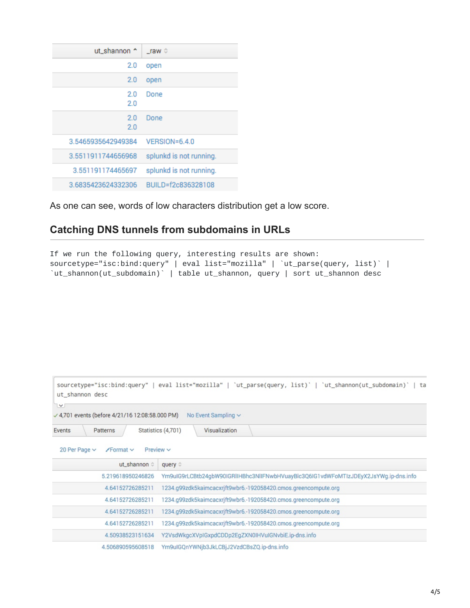| ut_shannon ^       | $\_raw \circ$           |
|--------------------|-------------------------|
| 2.0                | open                    |
| 2.0                | open                    |
| 2.0<br>2.0         | Done                    |
| 2.0<br>2.0         | Done                    |
| 3.5465935642949384 | $VERSION = 6.4.0$       |
| 3.5511911744656968 | splunkd is not running. |
| 3.551191174465697  | splunkd is not running. |
| 3.6835423624332306 | BUILD=f2c836328108      |

As one can see, words of low characters distribution get a low score.

## **Catching DNS tunnels from subdomains in URLs**

```
If we run the following query, interesting results are shown:
sourcetype="isc:bind:query" | eval list="mozilla" | `ut_parse(query, list)` |
`ut_shannon(ut_subdomain)` | table ut_shannon, query | sort ut_shannon desc
```

| ut shannon desc                                                | sourcetype="isc:bind:query"   eval list="mozilla"   'ut_parse(query, list)'   'ut_shannon(ut_subdomain)'   ta |
|----------------------------------------------------------------|---------------------------------------------------------------------------------------------------------------|
| v<br>√ 4,701 events (before 4/21/16 12:08:58.000 PM)           | No Event Sampling $\sim$                                                                                      |
| Events<br>Patterns                                             | Statistics (4,701)<br>Visualization                                                                           |
| 20 Per Page $\vee$<br>Preview $\vee$<br>$\sqrt{$ Format $\vee$ |                                                                                                               |
| ut_shannon ©                                                   | query $\circ$                                                                                                 |
| 5.219618950246826                                              | Ym9uIG9rLCBtb24qbW90IGRlIHBhc3NlIFNwbHVuayBlc3Q6IG1vdWFoMTIzJDEyX2JsYWg.ip-dns.info                           |
| 4.64152726285211                                               | 1234.g99zdk5kaimcacxrjft9wbr6.-192058420.cmos.greencompute.org                                                |
| 4.64152726285211                                               | 1234.g99zdk5kaimcacxrjft9wbr6.-192058420.cmos.greencompute.org                                                |
| 4.64152726285211                                               | 1234.g99zdk5kaimcacxrjft9wbr6.-192058420.cmos.greencompute.org                                                |
| 4.64152726285211                                               | 1234.g99zdk5kaimcacxrjft9wbr6.-192058420.cmos.greencompute.org                                                |
| 4.50938523151634                                               | Y2VsdWkgcXVpIGxpdCDDp2EgZXN0IHVuIGNvbiE.ip-dns.info                                                           |
| 4.506890595608518                                              | Ym9uIGQnYWNjb3JkLCBjJ2VzdCBsZQ.ip-dns.info                                                                    |